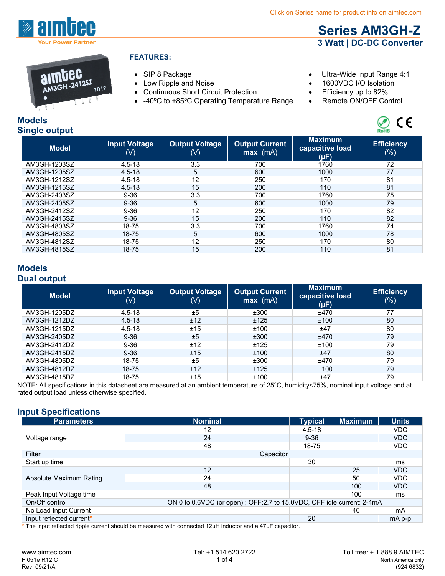

# 1019

#### **FEATURES:**

- 
- 
- Continuous Short Circuit Protection Efficiency up to 82%<br>• -40°C to +85°C Operating Temperature Range Remote ON/OFF Control
- -40°C to +85°C Operating Temperature Range
- SIP 8 Package CIP 8 Package CIP 8 Package CIP 8 Package 4:1

**Series AM3GH-Z 3 Watt | DC-DC Converter**

- Low Ripple and Noise 1600VDC I/O Isolation
	-
	-



| onigi <del>c</del> output |                             |                              |                                     |                                           | <b>NUMB</b>                 |
|---------------------------|-----------------------------|------------------------------|-------------------------------------|-------------------------------------------|-----------------------------|
| <b>Model</b>              | <b>Input Voltage</b><br>(V) | <b>Output Voltage</b><br>(V) | <b>Output Current</b><br>$max$ (mA) | <b>Maximum</b><br>capacitive load<br>(µF) | <b>Efficiency</b><br>$(\%)$ |
| AM3GH-1203SZ              | $4.5 - 18$                  | 3.3                          | 700                                 | 1760                                      | 72                          |
| AM3GH-1205SZ              | $4.5 - 18$                  | 5                            | 600                                 | 1000                                      | 77                          |
| AM3GH-1212SZ              | $4.5 - 18$                  | 12                           | 250                                 | 170                                       | 81                          |
| AM3GH-1215SZ              | $4.5 - 18$                  | 15                           | 200                                 | 110                                       | 81                          |
| AM3GH-2403SZ              | $9 - 36$                    | 3.3                          | 700                                 | 1760                                      | 75                          |
| AM3GH-2405SZ              | $9 - 36$                    | 5                            | 600                                 | 1000                                      | 79                          |
| AM3GH-2412SZ              | $9 - 36$                    | 12                           | 250                                 | 170                                       | 82                          |
| AM3GH-2415SZ              | $9 - 36$                    | 15                           | 200                                 | 110                                       | 82                          |
| AM3GH-4803SZ              | 18-75                       | 3.3                          | 700                                 | 1760                                      | 74                          |
| AM3GH-4805SZ              | 18-75                       | 5                            | 600                                 | 1000                                      | 78                          |
| AM3GH-4812SZ              | 18-75                       | 12                           | 250                                 | 170                                       | 80                          |
| AM3GH-4815SZ              | 18-75                       | 15                           | 200                                 | 110                                       | 81                          |

# **Models Dual output**

| <b>Model</b> | <b>Input Voltage</b><br>(V) | <b>Output Voltage</b><br>(V) | <b>Output Current</b><br>$max$ (mA) | <b>Maximum</b><br>capacitive load<br>(µF) | <b>Efficiency</b><br>$(\% )$ |
|--------------|-----------------------------|------------------------------|-------------------------------------|-------------------------------------------|------------------------------|
| AM3GH-1205DZ | $4.5 - 18$                  | ±5                           | ±300                                | ±470                                      | 77                           |
| AM3GH-1212DZ | $4.5 - 18$                  | ±12                          | ±125                                | ±100                                      | 80                           |
| AM3GH-1215DZ | $4.5 - 18$                  | ±15                          | ±100                                | ±47                                       | 80                           |
| AM3GH-2405DZ | $9 - 36$                    | ±5                           | ±300                                | ±470                                      | 79                           |
| AM3GH-2412DZ | $9 - 36$                    | ±12                          | ±125                                | ±100                                      | 79                           |
| AM3GH-2415DZ | $9 - 36$                    | ±15                          | ±100                                | ±47                                       | 80                           |
| AM3GH-4805DZ | 18-75                       | ±5                           | ±300                                | ±470                                      | 79                           |
| AM3GH-4812DZ | 18-75                       | ±12                          | ±125                                | ±100                                      | 79                           |
| AM3GH-4815DZ | 18-75                       | ±15                          | ±100                                | ±47                                       | 79                           |

NOTE: All specifications in this datasheet are measured at an ambient temperature of 25°C, humidity<75%, nominal input voltage and at rated output load unless otherwise specified.

# **Input Specifications**

| <b>Parameters</b>             | <b>Nominal</b>                                                        | <b>Typical</b> | <b>Maximum</b> | <b>Units</b> |
|-------------------------------|-----------------------------------------------------------------------|----------------|----------------|--------------|
|                               | 12                                                                    | $4.5 - 18$     |                | <b>VDC</b>   |
| Voltage range                 | 24                                                                    | $9 - 36$       |                | <b>VDC</b>   |
|                               | 48                                                                    | 18-75          |                | <b>VDC</b>   |
| Filter                        | Capacitor                                                             |                |                |              |
| Start up time                 |                                                                       | 30             |                | ms           |
|                               | 12                                                                    |                | 25             | <b>VDC</b>   |
| Absolute Maximum Rating       | 24                                                                    |                | 50             | <b>VDC</b>   |
|                               | 48                                                                    |                | 100            | <b>VDC</b>   |
| Peak Input Voltage time       |                                                                       |                | 100            | ms           |
| On/Off control                | ON 0 to 0.6VDC (or open); OFF:2.7 to 15.0VDC, OFF idle current: 2-4mA |                |                |              |
| No Load Input Current         |                                                                       |                | 40             | mA           |
| Input reflected current*<br>. |                                                                       | 20             |                | $mA$ p-p     |

\* The input reflected ripple current should be measured with connected 12μH inductor and a 47µF capacitor.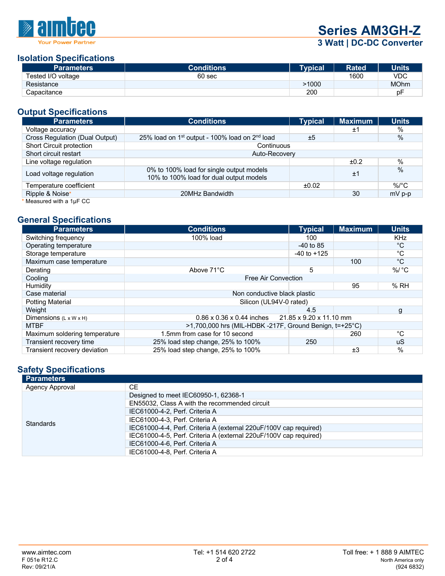

**Series AM3GH-Z**

# **3 Watt | DC-DC Converter**

### **Isolation Specifications**

| <b>Parameters</b>  | <b>Conditions</b> | Typical | <b>Rated</b> | <b>Units</b> |
|--------------------|-------------------|---------|--------------|--------------|
| Tested I/O voltage | 60 <sub>sec</sub> |         | 1600         | <b>VDC</b>   |
| Resistance         |                   | >1000   |              | <b>MOhm</b>  |
| Capacitance        |                   | 200     |              | рF           |

# **Output Specifications**

| <b>Parameters</b>              | <b>Conditions</b>                                                                   | <b>Typical</b> | <b>Maximum</b> | <b>Units</b>  |  |
|--------------------------------|-------------------------------------------------------------------------------------|----------------|----------------|---------------|--|
| Voltage accuracy               |                                                                                     |                | ±1             | %             |  |
| Cross Regulation (Dual Output) | 25% load on 1 <sup>st</sup> output - 100% load on 2 <sup>nd</sup> load              | ±5             |                | $\frac{0}{0}$ |  |
| Short Circuit protection       | Continuous                                                                          |                |                |               |  |
| Short circuit restart          | Auto-Recovery                                                                       |                |                |               |  |
| Line voltage regulation        |                                                                                     |                | ±0.2           | $\%$          |  |
| Load voltage regulation        | 0% to 100% load for single output models<br>10% to 100% load for dual output models |                | ±1             | $\%$          |  |
| Temperature coefficient        |                                                                                     | ±0.02          |                | $\%$ /°C      |  |
| Ripple & Noise*                | 20MHz Bandwidth                                                                     |                | 30             | $mV$ p-p      |  |
| Measured with a 1µF CC         |                                                                                     |                |                |               |  |

### **General Specifications**

| <b>Parameters</b>                  | <b>Conditions</b>                                                | <b>Typical</b>  | <b>Maximum</b> | <b>Units</b>       |
|------------------------------------|------------------------------------------------------------------|-----------------|----------------|--------------------|
| Switching frequency                | 100% load                                                        | 100             |                | <b>KHz</b>         |
| Operating temperature              |                                                                  | $-40$ to 85     |                | °C                 |
| Storage temperature                |                                                                  | $-40$ to $+125$ |                | $^{\circ}C$        |
| Maximum case temperature           |                                                                  |                 | 100            | $^{\circ}C$        |
| Derating                           | Above 71°C                                                       | 5               |                | $\%$ / $\degree$ C |
| Cooling                            | Free Air Convection                                              |                 |                |                    |
| Humidity                           |                                                                  |                 | 95             | %RH                |
| Case material                      | Non conductive black plastic                                     |                 |                |                    |
| <b>Potting Material</b>            | Silicon (UL94V-0 rated)                                          |                 |                |                    |
| Weight                             |                                                                  | 4.5             |                | g                  |
| Dimensions $(L \times W \times H)$ | 21.85 x 9.20 x 11.10 mm<br>$0.86 \times 0.36 \times 0.44$ inches |                 |                |                    |
| <b>MTBF</b>                        | $>1,700,000$ hrs (MIL-HDBK -217F, Ground Benign, t=+25°C)        |                 |                |                    |
| Maximum soldering temperature      | 1.5mm from case for 10 second                                    |                 | 260            | °С                 |
| Transient recovery time            | 25% load step change, 25% to 100%                                | 250             |                | uS                 |
| Transient recovery deviation       | 25% load step change, 25% to 100%                                |                 | ±3             | $\frac{0}{0}$      |

# **Safety Specifications**

| <b>Parameters</b> |                                                                   |
|-------------------|-------------------------------------------------------------------|
| Agency Approval   | <b>CE</b>                                                         |
|                   | Designed to meet IEC60950-1, 62368-1                              |
|                   | EN55032, Class A with the recommended circuit                     |
|                   | IEC61000-4-2, Perf. Criteria A                                    |
| <b>Standards</b>  | IEC61000-4-3. Perf. Criteria A                                    |
|                   | IEC61000-4-4, Perf. Criteria A (external 220uF/100V cap required) |
|                   | IEC61000-4-5, Perf. Criteria A (external 220uF/100V cap required) |
|                   | IEC61000-4-6, Perf. Criteria A                                    |
|                   | IEC61000-4-8, Perf. Criteria A                                    |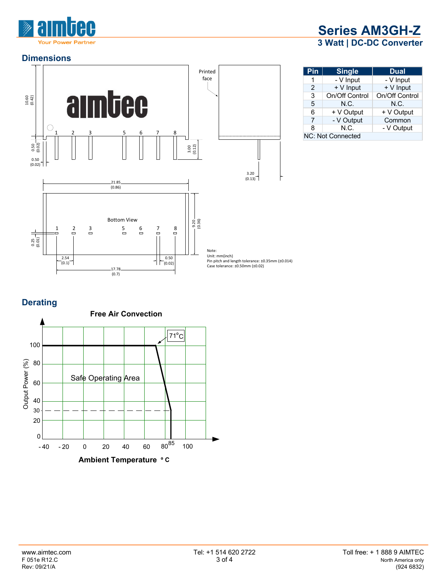

## **Dimensions**



# **Series AM3GH-Z 3 Watt | DC-DC Converter**

| Pin               | <b>Single</b>  | <b>Dual</b>    |  |
|-------------------|----------------|----------------|--|
| 1                 | - V Input      | - V Input      |  |
| $\mathcal{P}$     | + V Input      | + V Input      |  |
| 3                 | On/Off Control | On/Off Control |  |
| 5                 | N.C.           | N.C.           |  |
| 6                 | + V Output     | + V Output     |  |
| 7                 | - V Output     | Common         |  |
| 8                 | N.C.           | - V Output     |  |
| NC: Not Connected |                |                |  |

# **Derating**